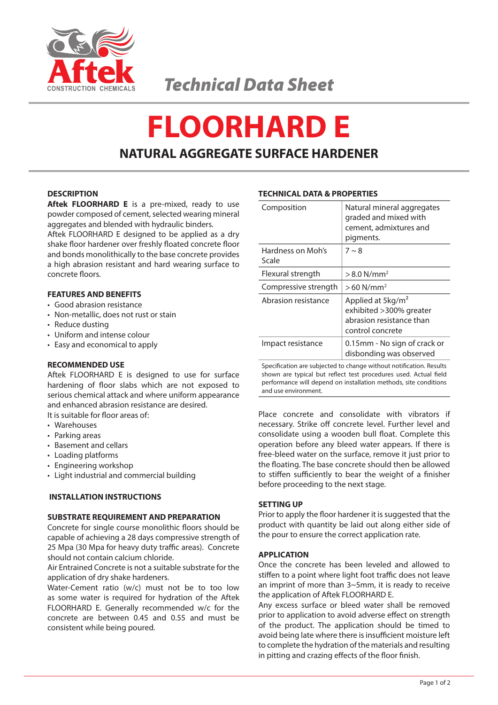

# **FLOORHARD E NATURAL AGGREGATE SURFACE HARDENER**

# **DESCRIPTION**

**Aftek FLOORHARD E** is a pre-mixed, ready to use powder composed of cement, selected wearing mineral aggregates and blended with hydraulic binders.

Aftek FLOORHARD E designed to be applied as a dry shake floor hardener over freshly floated concrete floor and bonds monolithically to the base concrete provides a high abrasion resistant and hard wearing surface to concrete floors.

# **FEATURES AND BENEFITS**

- • Good abrasion resistance
- • Non-metallic, does not rust or stain
- Reduce dusting
- Uniform and intense colour
- • Easy and economical to apply

# **RECOMMENDED USE**

Aftek FLOORHARD E is designed to use for surface hardening of floor slabs which are not exposed to serious chemical attack and where uniform appearance and enhanced abrasion resistance are desired.

It is suitable for floor areas of:

- Warehouses
- Parking areas
- Basement and cellars
- • Loading platforms
- • Engineering workshop
- • Light industrial and commercial building

# **INSTALLATION INSTRUCTIONS**

# **SUBSTRATE REQUIREMENT AND PREPARATION**

Concrete for single course monolithic floors should be capable of achieving a 28 days compressive strength of 25 Mpa (30 Mpa for heavy duty traffic areas). Concrete should not contain calcium chloride.

Air Entrained Concrete is not a suitable substrate for the application of dry shake hardeners.

Water-Cement ratio (w/c) must not be to too low as some water is required for hydration of the Aftek FLOORHARD E. Generally recommended w/c for the concrete are between 0.45 and 0.55 and must be consistent while being poured.

# **TECHNICAL DATA & PROPERTIES**

| Composition                | Natural mineral aggregates<br>graded and mixed with<br>cement, admixtures and<br>pigments.                |
|----------------------------|-----------------------------------------------------------------------------------------------------------|
| Hardness on Moh's<br>Scale | $7 \sim 8$                                                                                                |
| Flexural strength          | $> 8.0$ N/mm <sup>2</sup>                                                                                 |
| Compressive strength       | $>60$ N/mm <sup>2</sup>                                                                                   |
| Abrasion resistance        | Applied at 5kg/m <sup>2</sup><br>exhibited > 300% greater<br>abrasion resistance than<br>control concrete |
| Impact resistance          | 0.15mm - No sign of crack or<br>disbonding was observed                                                   |

Specification are subjected to change without notification. Results shown are typical but reflect test procedures used. Actual field performance will depend on installation methods, site conditions and use environment.

Place concrete and consolidate with vibrators if necessary. Strike off concrete level. Further level and consolidate using a wooden bull float. Complete this operation before any bleed water appears. If there is free-bleed water on the surface, remove it just prior to the floating. The base concrete should then be allowed to stiffen sufficiently to bear the weight of a finisher before proceeding to the next stage.

# **SETTING UP**

Prior to apply the floor hardener it is suggested that the product with quantity be laid out along either side of the pour to ensure the correct application rate.

## **APPLICATION**

Once the concrete has been leveled and allowed to stiffen to a point where light foot traffic does not leave an imprint of more than 3~5mm, it is ready to receive the application of Aftek FLOORHARD E.

Any excess surface or bleed water shall be removed prior to application to avoid adverse effect on strength of the product. The application should be timed to avoid being late where there is insufficient moisture left to complete the hydration of the materials and resulting in pitting and crazing effects of the floor finish.